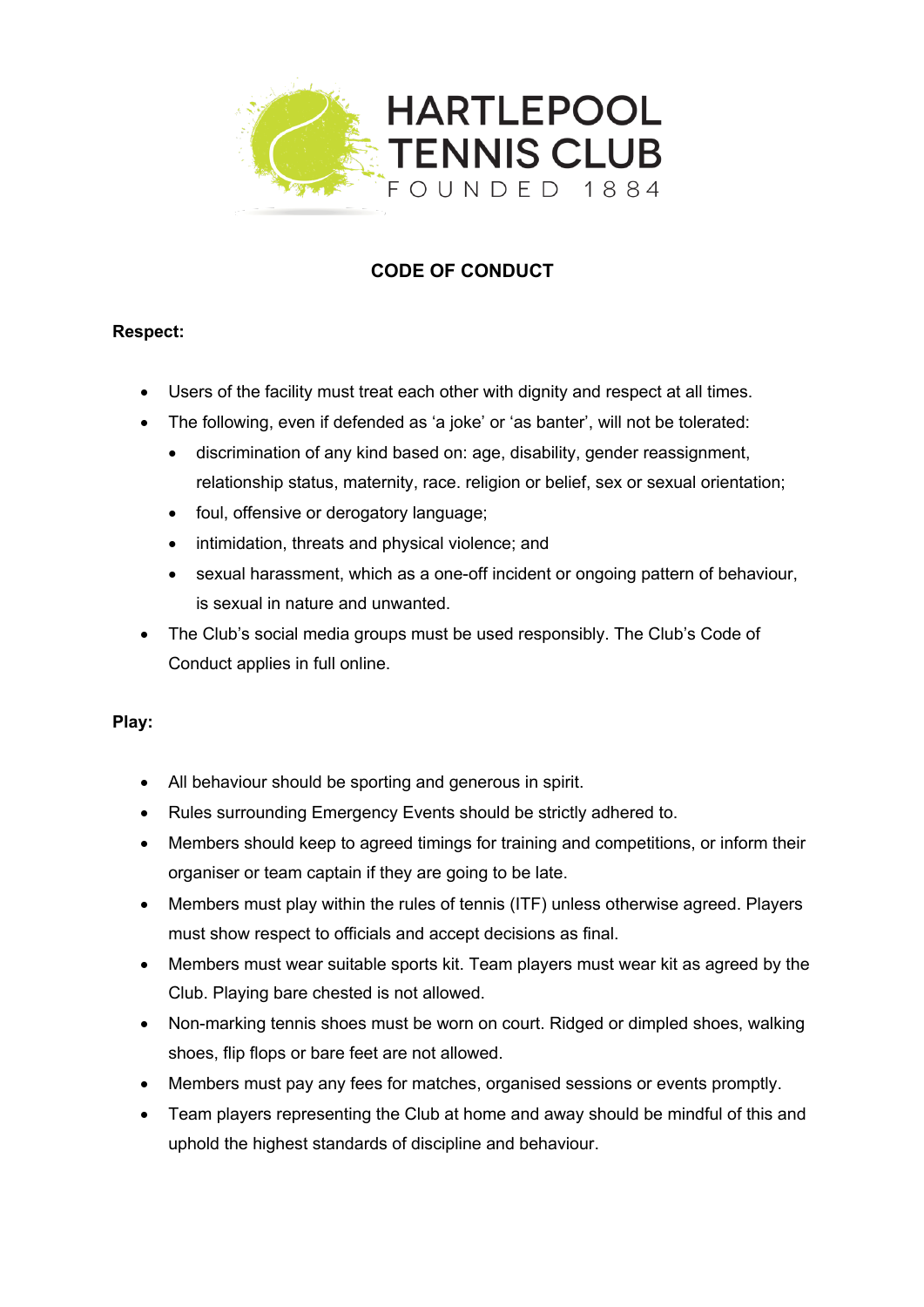

# **CODE OF CONDUCT**

## **Respect:**

- Users of the facility must treat each other with dignity and respect at all times.
- The following, even if defended as 'a joke' or 'as banter', will not be tolerated:
	- discrimination of any kind based on: age, disability, gender reassignment, relationship status, maternity, race. religion or belief, sex or sexual orientation;
	- foul, offensive or derogatory language;
	- intimidation, threats and physical violence; and
	- sexual harassment, which as a one-off incident or ongoing pattern of behaviour, is sexual in nature and unwanted.
- The Club's social media groups must be used responsibly. The Club's Code of Conduct applies in full online.

## **Play:**

- All behaviour should be sporting and generous in spirit.
- Rules surrounding Emergency Events should be strictly adhered to.
- Members should keep to agreed timings for training and competitions, or inform their organiser or team captain if they are going to be late.
- Members must play within the rules of tennis (ITF) unless otherwise agreed. Players must show respect to officials and accept decisions as final.
- Members must wear suitable sports kit. Team players must wear kit as agreed by the Club. Playing bare chested is not allowed.
- Non-marking tennis shoes must be worn on court. Ridged or dimpled shoes, walking shoes, flip flops or bare feet are not allowed.
- Members must pay any fees for matches, organised sessions or events promptly.
- Team players representing the Club at home and away should be mindful of this and uphold the highest standards of discipline and behaviour.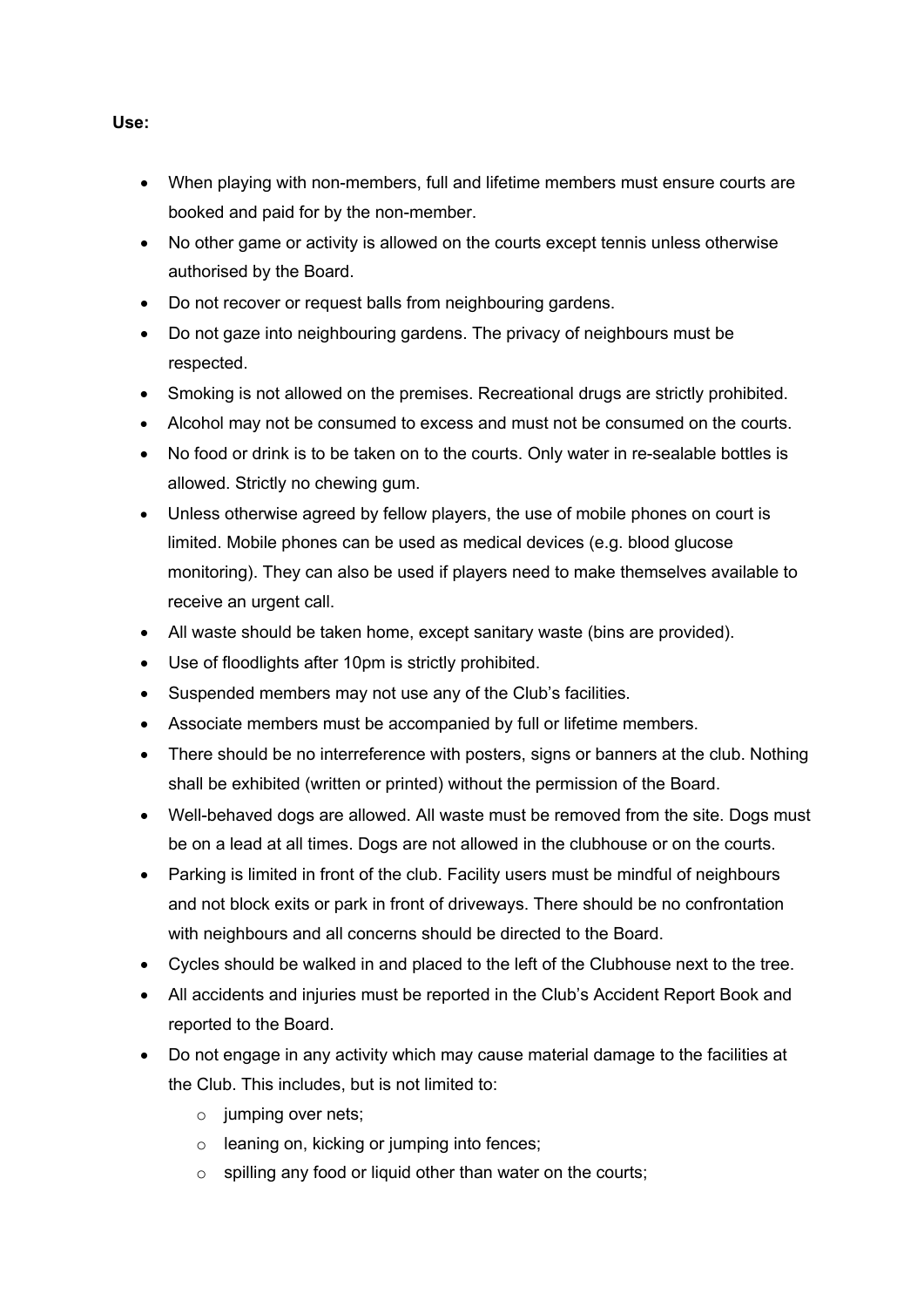- When playing with non-members, full and lifetime members must ensure courts are booked and paid for by the non-member.
- No other game or activity is allowed on the courts except tennis unless otherwise authorised by the Board.
- Do not recover or request balls from neighbouring gardens.
- Do not gaze into neighbouring gardens. The privacy of neighbours must be respected.
- Smoking is not allowed on the premises. Recreational drugs are strictly prohibited.
- Alcohol may not be consumed to excess and must not be consumed on the courts.
- No food or drink is to be taken on to the courts. Only water in re-sealable bottles is allowed. Strictly no chewing gum.
- Unless otherwise agreed by fellow players, the use of mobile phones on court is limited. Mobile phones can be used as medical devices (e.g. blood glucose monitoring). They can also be used if players need to make themselves available to receive an urgent call.
- All waste should be taken home, except sanitary waste (bins are provided).
- Use of floodlights after 10pm is strictly prohibited.
- Suspended members may not use any of the Club's facilities.
- Associate members must be accompanied by full or lifetime members.
- There should be no interreference with posters, signs or banners at the club. Nothing shall be exhibited (written or printed) without the permission of the Board.
- Well-behaved dogs are allowed. All waste must be removed from the site. Dogs must be on a lead at all times. Dogs are not allowed in the clubhouse or on the courts.
- Parking is limited in front of the club. Facility users must be mindful of neighbours and not block exits or park in front of driveways. There should be no confrontation with neighbours and all concerns should be directed to the Board.
- Cycles should be walked in and placed to the left of the Clubhouse next to the tree.
- All accidents and injuries must be reported in the Club's Accident Report Book and reported to the Board.
- Do not engage in any activity which may cause material damage to the facilities at the Club. This includes, but is not limited to:
	- $\circ$  jumping over nets:
	- o leaning on, kicking or jumping into fences;
	- o spilling any food or liquid other than water on the courts;

## **Use:**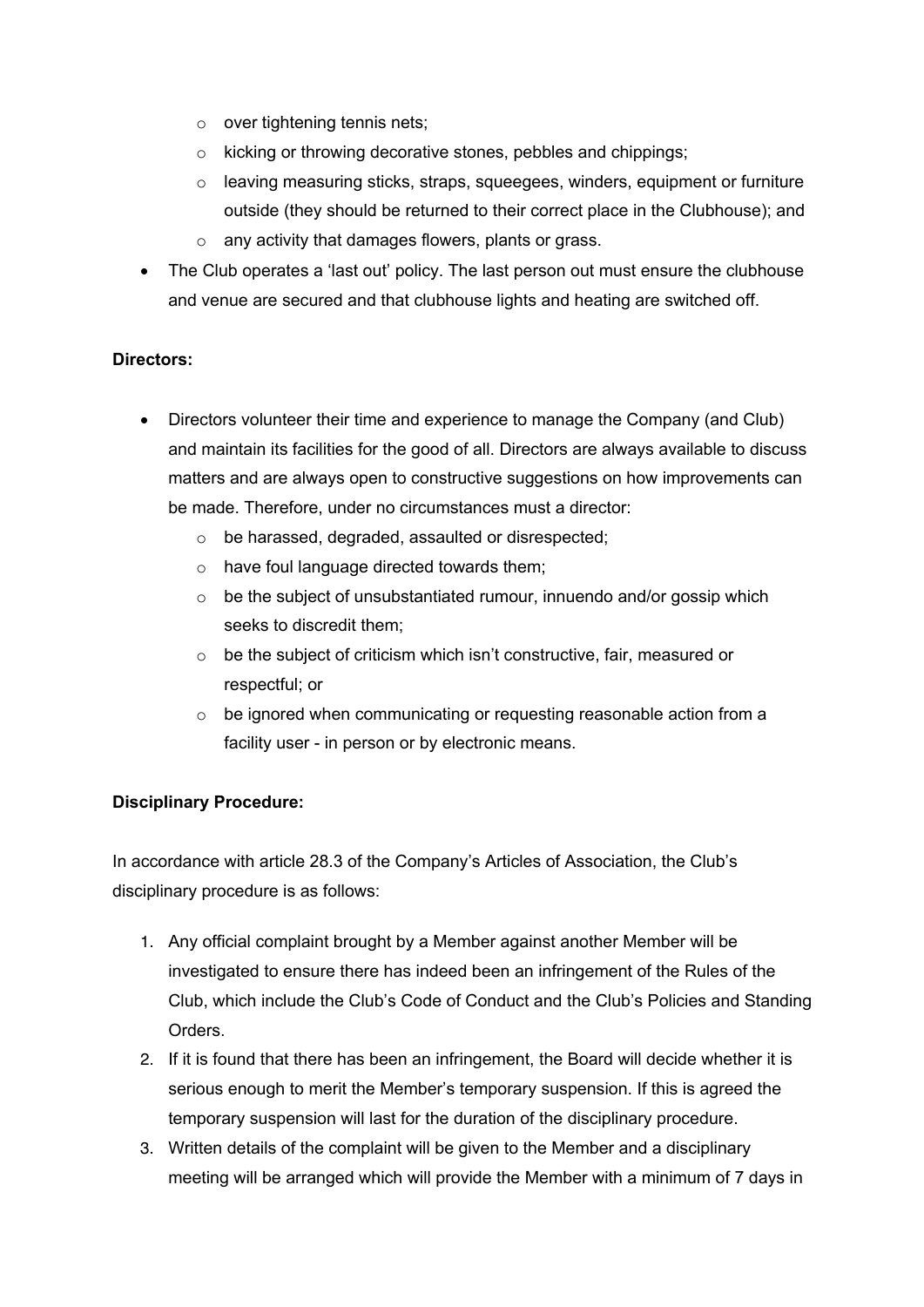- o over tightening tennis nets;
- o kicking or throwing decorative stones, pebbles and chippings;
- $\circ$  leaving measuring sticks, straps, squeegees, winders, equipment or furniture outside (they should be returned to their correct place in the Clubhouse); and
- o any activity that damages flowers, plants or grass.
- The Club operates a 'last out' policy. The last person out must ensure the clubhouse and venue are secured and that clubhouse lights and heating are switched off.

## **Directors:**

- Directors volunteer their time and experience to manage the Company (and Club) and maintain its facilities for the good of all. Directors are always available to discuss matters and are always open to constructive suggestions on how improvements can be made. Therefore, under no circumstances must a director:
	- o be harassed, degraded, assaulted or disrespected;
	- o have foul language directed towards them;
	- $\circ$  be the subject of unsubstantiated rumour, innuendo and/or gossip which seeks to discredit them;
	- o be the subject of criticism which isn't constructive, fair, measured or respectful; or
	- o be ignored when communicating or requesting reasonable action from a facility user - in person or by electronic means.

## **Disciplinary Procedure:**

In accordance with article 28.3 of the Company's Articles of Association, the Club's disciplinary procedure is as follows:

- 1. Any official complaint brought by a Member against another Member will be investigated to ensure there has indeed been an infringement of the Rules of the Club, which include the Club's Code of Conduct and the Club's Policies and Standing Orders.
- 2. If it is found that there has been an infringement, the Board will decide whether it is serious enough to merit the Member's temporary suspension. If this is agreed the temporary suspension will last for the duration of the disciplinary procedure.
- 3. Written details of the complaint will be given to the Member and a disciplinary meeting will be arranged which will provide the Member with a minimum of 7 days in